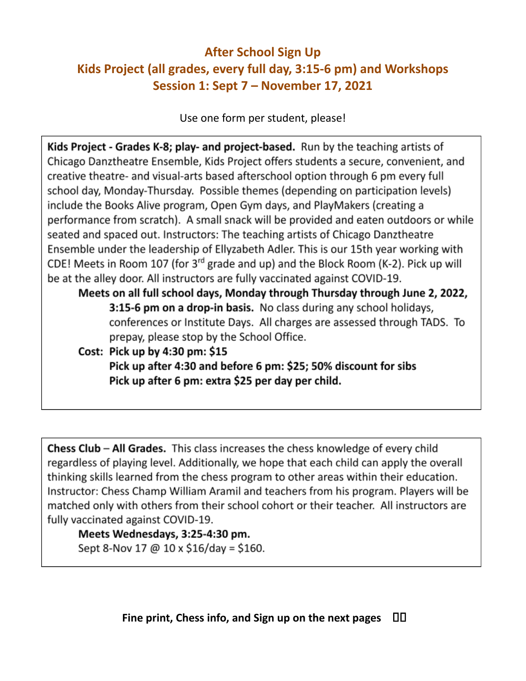## **After School Sign Up Kids Project (all grades, every full day, 3:15-6 pm) and Workshops Session 1: Sept 7 – November 17, 2021**

Use one form per student, please!

Kids Project - Grades K-8; play- and project-based. Run by the teaching artists of Chicago Danztheatre Ensemble, Kids Project offers students a secure, convenient, and creative theatre- and visual-arts based afterschool option through 6 pm every full school day, Monday-Thursday. Possible themes (depending on participation levels) include the Books Alive program, Open Gym days, and PlayMakers (creating a performance from scratch). A small snack will be provided and eaten outdoors or while seated and spaced out. Instructors: The teaching artists of Chicago Danztheatre Ensemble under the leadership of Ellyzabeth Adler. This is our 15th year working with CDE! Meets in Room 107 (for 3<sup>rd</sup> grade and up) and the Block Room (K-2). Pick up will be at the alley door. All instructors are fully vaccinated against COVID-19. Meets on all full school days, Monday through Thursday through June 2, 2022,

3:15-6 pm on a drop-in basis. No class during any school holidays, conferences or Institute Days. All charges are assessed through TADS. To prepay, please stop by the School Office.

Cost: Pick up by 4:30 pm: \$15

Pick up after 4:30 and before 6 pm: \$25; 50% discount for sibs Pick up after 6 pm: extra \$25 per day per child.

**Chess Club – All Grades.** This class increases the chess knowledge of every child regardless of playing level. Additionally, we hope that each child can apply the overall thinking skills learned from the chess program to other areas within their education. Instructor: Chess Champ William Aramil and teachers from his program. Players will be matched only with others from their school cohort or their teacher. All instructors are fully vaccinated against COVID-19.

## Meets Wednesdays, 3:25-4:30 pm.

Sept 8-Nov 17 @ 10 x \$16/day = \$160.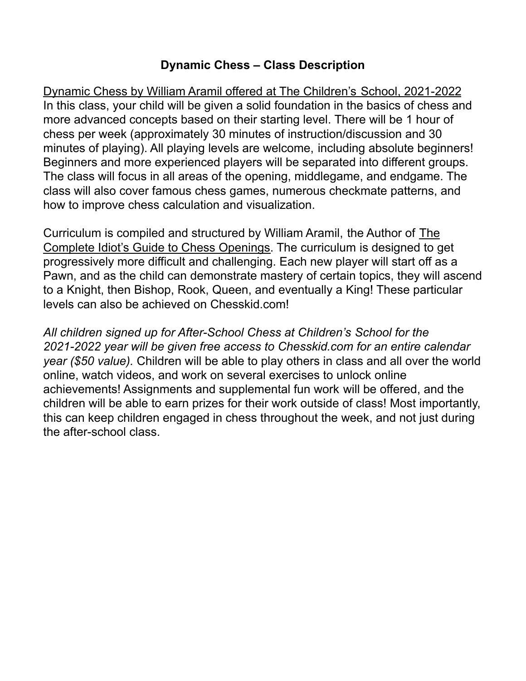## **Dynamic Chess – Class Description**

Dynamic Chess by William Aramil offered at The Children's School, 2021-2022 In this class, your child will be given a solid foundation in the basics of chess and more advanced concepts based on their starting level. There will be 1 hour of chess per week (approximately 30 minutes of instruction/discussion and 30 minutes of playing). All playing levels are welcome, including absolute beginners! Beginners and more experienced players will be separated into different groups. The class will focus in all areas of the opening, middlegame, and endgame. The class will also cover famous chess games, numerous checkmate patterns, and how to improve chess calculation and visualization.

Curriculum is compiled and structured by William Aramil, the Author of The Complete Idiot's Guide to Chess Openings. The curriculum is designed to get progressively more difficult and challenging. Each new player will start off as a Pawn, and as the child can demonstrate mastery of certain topics, they will ascend to a Knight, then Bishop, Rook, Queen, and eventually a King! These particular levels can also be achieved on Chesskid.com!

*All children signed up for After-School Chess at Children's School for the 2021-2022 year will be given free access to Chesskid.com for an entire calendar year (\$50 value).* Children will be able to play others in class and all over the world online, watch videos, and work on several exercises to unlock online achievements! Assignments and supplemental fun work will be offered, and the children will be able to earn prizes for their work outside of class! Most importantly, this can keep children engaged in chess throughout the week, and not just during the after-school class.